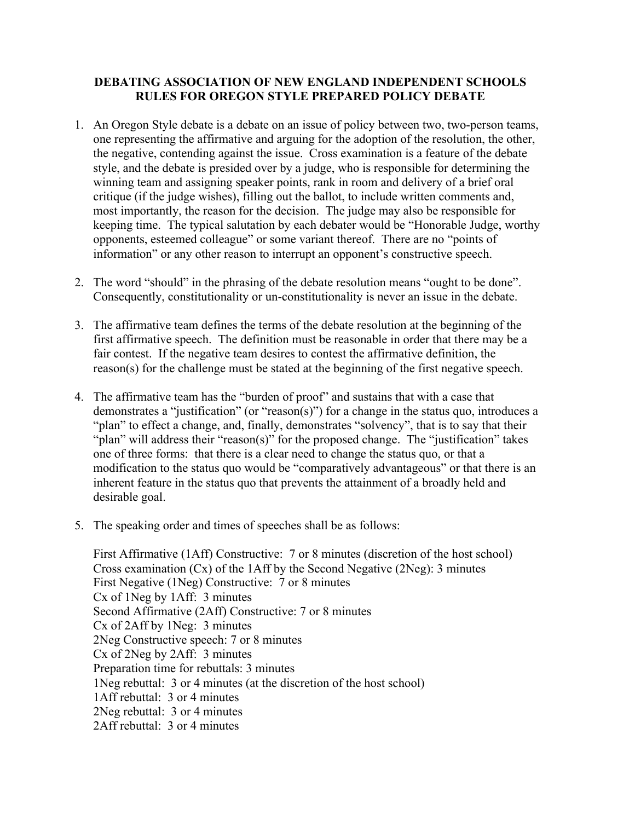## **DEBATING ASSOCIATION OF NEW ENGLAND INDEPENDENT SCHOOLS RULES FOR OREGON STYLE PREPARED POLICY DEBATE**

- 1. An Oregon Style debate is a debate on an issue of policy between two, two-person teams, one representing the affirmative and arguing for the adoption of the resolution, the other, the negative, contending against the issue. Cross examination is a feature of the debate style, and the debate is presided over by a judge, who is responsible for determining the winning team and assigning speaker points, rank in room and delivery of a brief oral critique (if the judge wishes), filling out the ballot, to include written comments and, most importantly, the reason for the decision. The judge may also be responsible for keeping time. The typical salutation by each debater would be "Honorable Judge, worthy opponents, esteemed colleague" or some variant thereof. There are no "points of information" or any other reason to interrupt an opponent's constructive speech.
- 2. The word "should" in the phrasing of the debate resolution means "ought to be done". Consequently, constitutionality or un-constitutionality is never an issue in the debate.
- 3. The affirmative team defines the terms of the debate resolution at the beginning of the first affirmative speech. The definition must be reasonable in order that there may be a fair contest. If the negative team desires to contest the affirmative definition, the reason(s) for the challenge must be stated at the beginning of the first negative speech.
- 4. The affirmative team has the "burden of proof" and sustains that with a case that demonstrates a "justification" (or "reason(s)") for a change in the status quo, introduces a "plan" to effect a change, and, finally, demonstrates "solvency", that is to say that their "plan" will address their "reason(s)" for the proposed change. The "justification" takes one of three forms: that there is a clear need to change the status quo, or that a modification to the status quo would be "comparatively advantageous" or that there is an inherent feature in the status quo that prevents the attainment of a broadly held and desirable goal.
- 5. The speaking order and times of speeches shall be as follows:

First Affirmative (1Aff) Constructive: 7 or 8 minutes (discretion of the host school) Cross examination (Cx) of the 1Aff by the Second Negative (2Neg): 3 minutes First Negative (1Neg) Constructive: 7 or 8 minutes Cx of 1Neg by 1Aff: 3 minutes Second Affirmative (2Aff) Constructive: 7 or 8 minutes Cx of 2Aff by 1Neg: 3 minutes 2Neg Constructive speech: 7 or 8 minutes Cx of 2Neg by 2Aff: 3 minutes Preparation time for rebuttals: 3 minutes 1Neg rebuttal: 3 or 4 minutes (at the discretion of the host school) 1Aff rebuttal: 3 or 4 minutes 2Neg rebuttal: 3 or 4 minutes 2Aff rebuttal: 3 or 4 minutes